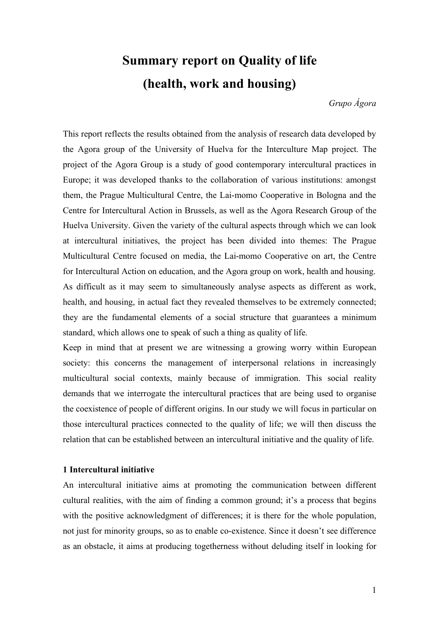# **Summary report on Quality of life (health, work and housing)**

*Grupo Ágora*

This report reflects the results obtained from the analysis of research data developed by the Agora group of the University of Huelva for the Interculture Map project. The project of the Agora Group is a study of good contemporary intercultural practices in Europe; it was developed thanks to the collaboration of various institutions: amongst them, the Prague Multicultural Centre, the Lai-momo Cooperative in Bologna and the Centre for Intercultural Action in Brussels, as well as the Agora Research Group of the Huelva University. Given the variety of the cultural aspects through which we can look at intercultural initiatives, the project has been divided into themes: The Prague Multicultural Centre focused on media, the Lai-momo Cooperative on art, the Centre for Intercultural Action on education, and the Agora group on work, health and housing. As difficult as it may seem to simultaneously analyse aspects as different as work, health, and housing, in actual fact they revealed themselves to be extremely connected; they are the fundamental elements of a social structure that guarantees a minimum standard, which allows one to speak of such a thing as quality of life.

Keep in mind that at present we are witnessing a growing worry within European society: this concerns the management of interpersonal relations in increasingly multicultural social contexts, mainly because of immigration. This social reality demands that we interrogate the intercultural practices that are being used to organise the coexistence of people of different origins. In our study we will focus in particular on those intercultural practices connected to the quality of life; we will then discuss the relation that can be established between an intercultural initiative and the quality of life.

#### **1 Intercultural initiative**

An intercultural initiative aims at promoting the communication between different cultural realities, with the aim of finding a common ground; it's a process that begins with the positive acknowledgment of differences; it is there for the whole population, not just for minority groups, so as to enable co-existence. Since it doesn't see difference as an obstacle, it aims at producing togetherness without deluding itself in looking for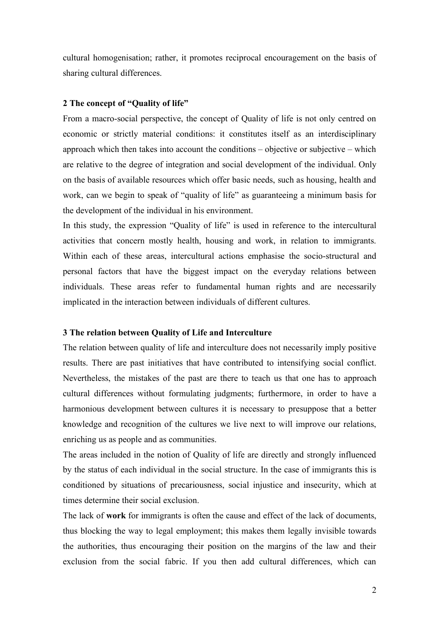cultural homogenisation; rather, it promotes reciprocal encouragement on the basis of sharing cultural differences.

## **2 The concept of "Quality of life"**

From a macro-social perspective, the concept of Quality of life is not only centred on economic or strictly material conditions: it constitutes itself as an interdisciplinary approach which then takes into account the conditions – objective or subjective – which are relative to the degree of integration and social development of the individual. Only on the basis of available resources which offer basic needs, such as housing, health and work, can we begin to speak of "quality of life" as guaranteeing a minimum basis for the development of the individual in his environment.

In this study, the expression "Quality of life" is used in reference to the intercultural activities that concern mostly health, housing and work, in relation to immigrants. Within each of these areas, intercultural actions emphasise the socio-structural and personal factors that have the biggest impact on the everyday relations between individuals. These areas refer to fundamental human rights and are necessarily implicated in the interaction between individuals of different cultures.

## **3 The relation between Quality of Life and Interculture**

The relation between quality of life and interculture does not necessarily imply positive results. There are past initiatives that have contributed to intensifying social conflict. Nevertheless, the mistakes of the past are there to teach us that one has to approach cultural differences without formulating judgments; furthermore, in order to have a harmonious development between cultures it is necessary to presuppose that a better knowledge and recognition of the cultures we live next to will improve our relations, enriching us as people and as communities.

The areas included in the notion of Quality of life are directly and strongly influenced by the status of each individual in the social structure. In the case of immigrants this is conditioned by situations of precariousness, social injustice and insecurity, which at times determine their social exclusion.

The lack of **work** for immigrants is often the cause and effect of the lack of documents, thus blocking the way to legal employment; this makes them legally invisible towards the authorities, thus encouraging their position on the margins of the law and their exclusion from the social fabric. If you then add cultural differences, which can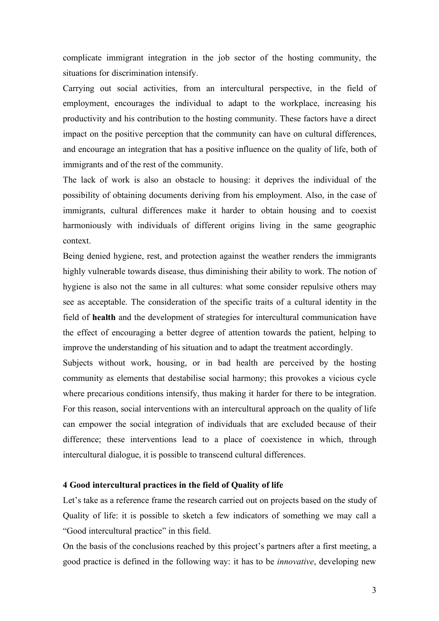complicate immigrant integration in the job sector of the hosting community, the situations for discrimination intensify.

Carrying out social activities, from an intercultural perspective, in the field of employment, encourages the individual to adapt to the workplace, increasing his productivity and his contribution to the hosting community. These factors have a direct impact on the positive perception that the community can have on cultural differences, and encourage an integration that has a positive influence on the quality of life, both of immigrants and of the rest of the community.

The lack of work is also an obstacle to housing: it deprives the individual of the possibility of obtaining documents deriving from his employment. Also, in the case of immigrants, cultural differences make it harder to obtain housing and to coexist harmoniously with individuals of different origins living in the same geographic context.

Being denied hygiene, rest, and protection against the weather renders the immigrants highly vulnerable towards disease, thus diminishing their ability to work. The notion of hygiene is also not the same in all cultures: what some consider repulsive others may see as acceptable. The consideration of the specific traits of a cultural identity in the field of **health** and the development of strategies for intercultural communication have the effect of encouraging a better degree of attention towards the patient, helping to improve the understanding of his situation and to adapt the treatment accordingly.

Subjects without work, housing, or in bad health are perceived by the hosting community as elements that destabilise social harmony; this provokes a vicious cycle where precarious conditions intensify, thus making it harder for there to be integration. For this reason, social interventions with an intercultural approach on the quality of life can empower the social integration of individuals that are excluded because of their difference; these interventions lead to a place of coexistence in which, through intercultural dialogue, it is possible to transcend cultural differences.

### **4 Good intercultural practices in the field of Quality of life**

Let's take as a reference frame the research carried out on projects based on the study of Quality of life: it is possible to sketch a few indicators of something we may call a "Good intercultural practice" in this field.

On the basis of the conclusions reached by this project's partners after a first meeting, a good practice is defined in the following way: it has to be *innovative*, developing new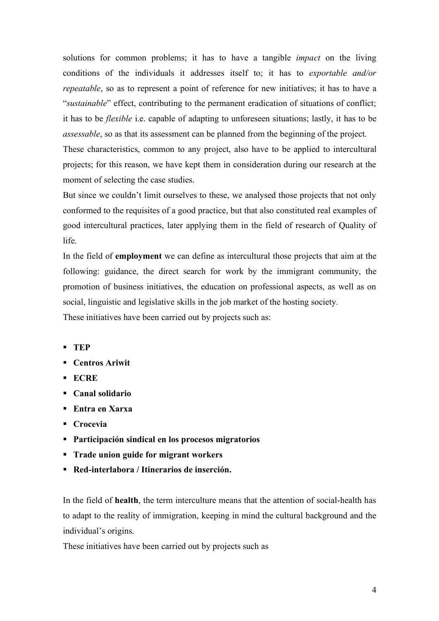solutions for common problems; it has to have a tangible *impact* on the living conditions of the individuals it addresses itself to; it has to *exportable and/or repeatable*, so as to represent a point of reference for new initiatives; it has to have a "*sustainable*" effect, contributing to the permanent eradication of situations of conflict; it has to be *flexible* i.e. capable of adapting to unforeseen situations; lastly, it has to be *assessable*, so as that its assessment can be planned from the beginning of the project.

These characteristics, common to any project, also have to be applied to intercultural projects; for this reason, we have kept them in consideration during our research at the moment of selecting the case studies.

But since we couldn't limit ourselves to these, we analysed those projects that not only conformed to the requisites of a good practice, but that also constituted real examples of good intercultural practices, later applying them in the field of research of Quality of life.

In the field of **employment** we can define as intercultural those projects that aim at the following: guidance, the direct search for work by the immigrant community, the promotion of business initiatives, the education on professional aspects, as well as on social, linguistic and legislative skills in the job market of the hosting society. These initiatives have been carried out by projects such as:

- **TEP**
- **Centros Ariwit**
- **ECRE**
- **Canal solidario**
- **Entra en Xarxa**
- **Crocevia**
- **Participación sindical en los procesos migratorios**
- **Trade union guide for migrant workers**
- **Red-interlabora / Itinerarios de inserción.**

In the field of **health**, the term interculture means that the attention of social-health has to adapt to the reality of immigration, keeping in mind the cultural background and the individual's origins.

These initiatives have been carried out by projects such as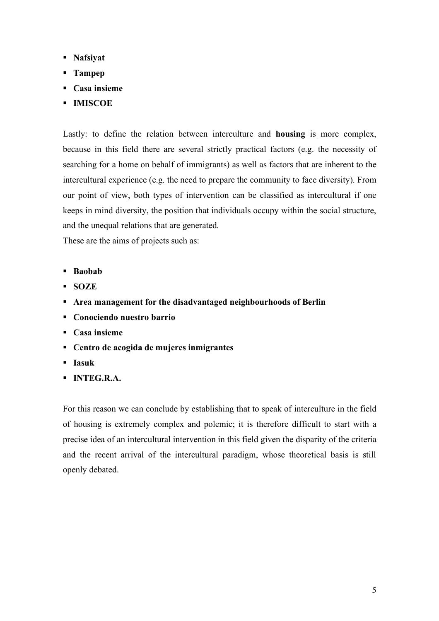- **Nafsiyat**
- **Tampep**
- **Casa insieme**
- **IMISCOE**

Lastly: to define the relation between interculture and **housing** is more complex, because in this field there are several strictly practical factors (e.g. the necessity of searching for a home on behalf of immigrants) as well as factors that are inherent to the intercultural experience (e.g. the need to prepare the community to face diversity). From our point of view, both types of intervention can be classified as intercultural if one keeps in mind diversity, the position that individuals occupy within the social structure, and the unequal relations that are generated.

These are the aims of projects such as:

- **Baobab**
- **SOZE**
- **Area management for the disadvantaged neighbourhoods of Berlin**
- **Conociendo nuestro barrio**
- **Casa insieme**
- **Centro de acogida de mujeres inmigrantes**
- **Iasuk**
- **INTEG.R.A.**

For this reason we can conclude by establishing that to speak of interculture in the field of housing is extremely complex and polemic; it is therefore difficult to start with a precise idea of an intercultural intervention in this field given the disparity of the criteria and the recent arrival of the intercultural paradigm, whose theoretical basis is still openly debated.